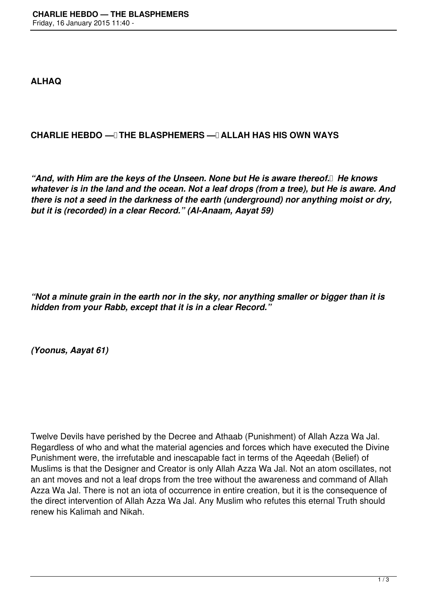**ALHAQ**

## **CHARLIE HEBDO — THE BLASPHEMERS — ALLAH HAS HIS OWN WAYS**

*"And, with Him are the keys of the Unseen. None but He is aware thereof. He knows whatever is in the land and the ocean. Not a leaf drops (from a tree), but He is aware. And there is not a seed in the darkness of the earth (underground) nor anything moist or dry, but it is (recorded) in a clear Record." (Al-Anaam, Aayat 59)*

*"Not a minute grain in the earth nor in the sky, nor anything smaller or bigger than it is hidden from your Rabb, except that it is in a clear Record."*

*(Yoonus, Aayat 61)*

Twelve Devils have perished by the Decree and Athaab (Punishment) of Allah Azza Wa Jal. Regardless of who and what the material agencies and forces which have executed the Divine Punishment were, the irrefutable and inescapable fact in terms of the Aqeedah (Belief) of Muslims is that the Designer and Creator is only Allah Azza Wa Jal. Not an atom oscillates, not an ant moves and not a leaf drops from the tree without the awareness and command of Allah Azza Wa Jal. There is not an iota of occurrence in entire creation, but it is the consequence of the direct intervention of Allah Azza Wa Jal. Any Muslim who refutes this eternal Truth should renew his Kalimah and Nikah.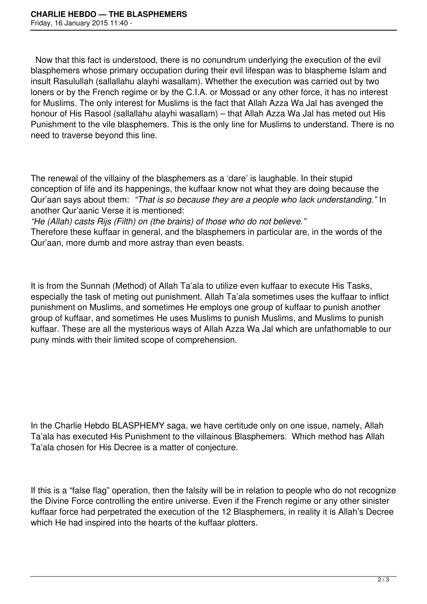Now that this fact is understood, there is no conundrum underlying the execution of the evil blasphemers whose primary occupation during their evil lifespan was to blaspheme Islam and insult Rasulullah (sallallahu alayhi wasallam). Whether the execution was carried out by two loners or by the French regime or by the C.I.A. or Mossad or any other force, it has no interest for Muslims. The only interest for Muslims is the fact that Allah Azza Wa Jal has avenged the honour of His Rasool (sallallahu alayhi wasallam) – that Allah Azza Wa Jal has meted out His Punishment to the vile blasphemers. This is the only line for Muslims to understand. There is no need to traverse beyond this line.

The renewal of the villainy of the blasphemers as a 'dare' is laughable. In their stupid conception of life and its happenings, the kuffaar know not what they are doing because the Qur'aan says about them: *"That is so because they are a people who lack understanding."* In another Qur'aanic Verse it is mentioned:

*"He (Allah) casts Rijs (Filth) on (the brains) of those who do not believe."* 

Therefore these kuffaar in general, and the blasphemers in particular are, in the words of the Qur'aan, more dumb and more astray than even beasts.

It is from the Sunnah (Method) of Allah Ta'ala to utilize even kuffaar to execute His Tasks, especially the task of meting out punishment. Allah Ta'ala sometimes uses the kuffaar to inflict punishment on Muslims, and sometimes He employs one group of kuffaar to punish another group of kuffaar, and sometimes He uses Muslims to punish Muslims, and Muslims to punish kuffaar. These are all the mysterious ways of Allah Azza Wa Jal which are unfathomable to our puny minds with their limited scope of comprehension.

In the Charlie Hebdo BLASPHEMY saga, we have certitude only on one issue, namely, Allah Ta'ala has executed His Punishment to the villainous Blasphemers. Which method has Allah Ta'ala chosen for His Decree is a matter of conjecture.

If this is a "false flag" operation, then the falsity will be in relation to people who do not recognize the Divine Force controlling the entire universe. Even if the French regime or any other sinister kuffaar force had perpetrated the execution of the 12 Blasphemers, in reality it is Allah's Decree which He had inspired into the hearts of the kuffaar plotters.